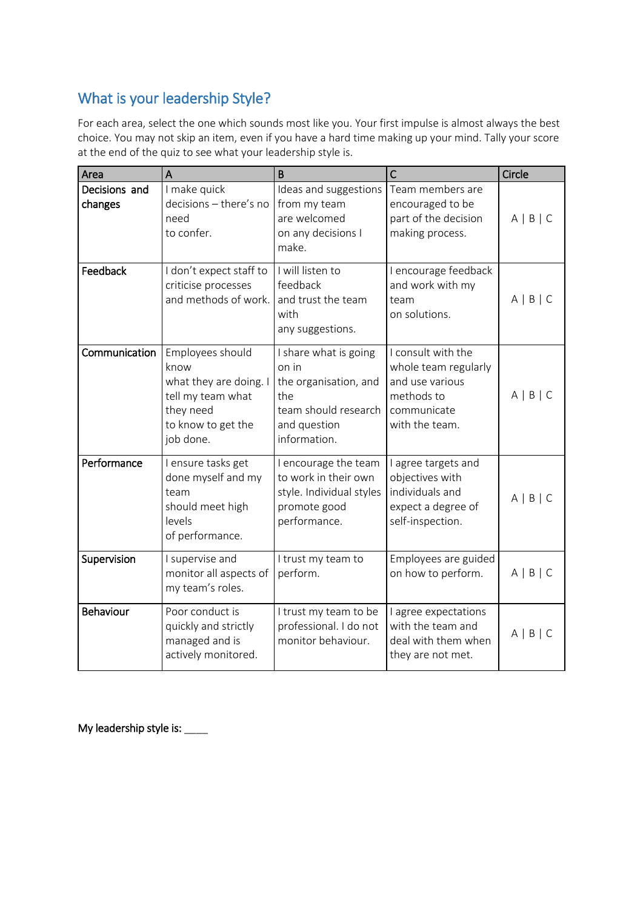## What is your leadership Style?

For each area, select the one which sounds most like you. Your first impulse is almost always the best choice. You may not skip an item, even if you have a hard time making up your mind. Tally your score at the end of the quiz to see what your leadership style is.

| Area                     | A                                                                                                                       | B                                                                                                                      | $\mathsf{C}$                                                                                                 | Circle            |
|--------------------------|-------------------------------------------------------------------------------------------------------------------------|------------------------------------------------------------------------------------------------------------------------|--------------------------------------------------------------------------------------------------------------|-------------------|
| Decisions and<br>changes | I make quick<br>decisions - there's no<br>need<br>to confer.                                                            | Ideas and suggestions<br>from my team<br>are welcomed<br>on any decisions I<br>make.                                   | Team members are<br>encouraged to be<br>part of the decision<br>making process.                              | $A \mid B \mid C$ |
| Feedback                 | I don't expect staff to<br>criticise processes<br>and methods of work.                                                  | I will listen to<br>feedback<br>and trust the team<br>with<br>any suggestions.                                         | I encourage feedback<br>and work with my<br>team<br>on solutions.                                            | $A \mid B \mid C$ |
| Communication            | Employees should<br>know<br>what they are doing. I<br>tell my team what<br>they need<br>to know to get the<br>job done. | I share what is going<br>on in<br>the organisation, and<br>the<br>team should research<br>and question<br>information. | I consult with the<br>whole team regularly<br>and use various<br>methods to<br>communicate<br>with the team. | $A \mid B \mid C$ |
| Performance              | I ensure tasks get<br>done myself and my<br>team<br>should meet high<br>levels<br>of performance.                       | I encourage the team<br>to work in their own<br>style. Individual styles<br>promote good<br>performance.               | I agree targets and<br>objectives with<br>individuals and<br>expect a degree of<br>self-inspection.          | $A \mid B \mid C$ |
| Supervision              | I supervise and<br>monitor all aspects of<br>my team's roles.                                                           | I trust my team to<br>perform.                                                                                         | Employees are guided<br>on how to perform.                                                                   | $A \mid B \mid C$ |
| Behaviour                | Poor conduct is<br>quickly and strictly<br>managed and is<br>actively monitored.                                        | I trust my team to be<br>professional. I do not<br>monitor behaviour.                                                  | I agree expectations<br>with the team and<br>deal with them when<br>they are not met.                        | $A \mid B \mid C$ |

My leadership style is: \_\_\_\_